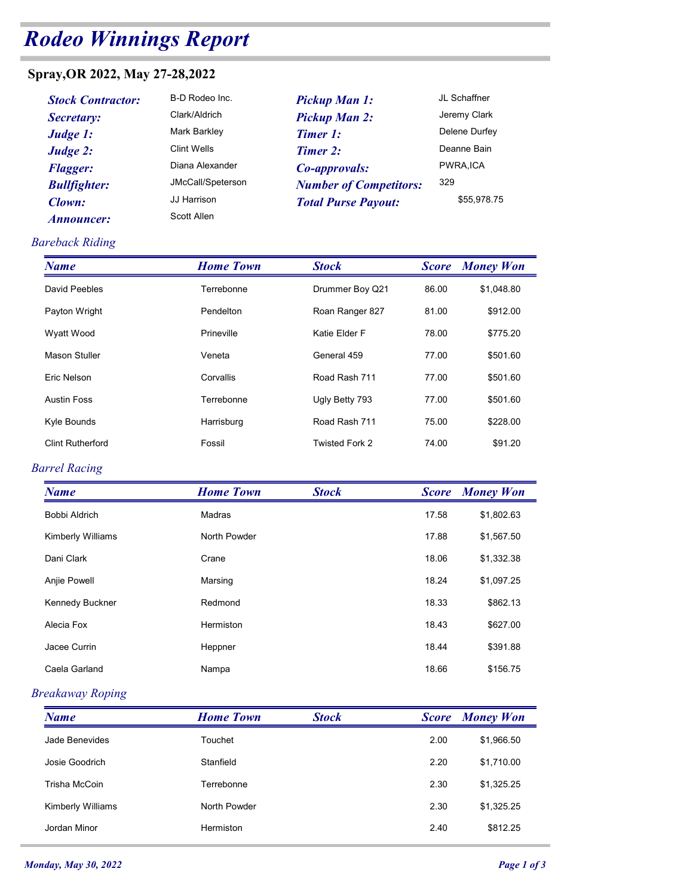# Rodeo Winnings Report

## Spray,OR 2022, May 27-28,2022

| ndeo Winnings Report          |                    |                               |              |                  |
|-------------------------------|--------------------|-------------------------------|--------------|------------------|
| ray, OR 2022, May 27-28, 2022 |                    |                               |              |                  |
| <b>Stock Contractor:</b>      | B-D Rodeo Inc.     | <b>Pickup Man 1:</b>          |              | JL Schaffner     |
| Secretary:                    | Clark/Aldrich      | <b>Pickup Man 2:</b>          |              | Jeremy Clark     |
| Judge 1:                      | Mark Barkley       | <b>Timer 1:</b>               |              | Delene Durfey    |
| Judge 2:                      | <b>Clint Wells</b> | Timer 2:                      |              | Deanne Bain      |
| <b>Flagger:</b>               | Diana Alexander    | Co-approvals:                 |              | PWRA, ICA        |
| <b>Bullfighter:</b>           | JMcCall/Speterson  | <b>Number of Competitors:</b> | 329          |                  |
| Clown:                        | JJ Harrison        | <b>Total Purse Payout:</b>    |              | \$55,978.75      |
| <i><b>Announcer:</b></i>      | <b>Scott Allen</b> |                               |              |                  |
| reback Riding                 |                    |                               |              |                  |
| <b>Name</b>                   | <b>Home Town</b>   | <b>Stock</b>                  | <b>Score</b> | <b>Money Won</b> |
| David Peebles                 | Terrebonne         | Drummer Boy Q21               | 86.00        | \$1,048.80       |
| Payton Wright                 | Pendelton          | Roan Ranger 827               | 81.00        | \$912.00         |
| Wyatt Wood                    | Prineville         | Katie Elder F                 | 78.00        | \$775.20         |
| <b>Mason Stuller</b>          | Veneta             | General 459                   | 77.00        | \$501.60         |

#### Bareback Riding

| <b>odeo Winnings Report</b><br>B-D Rodeo Inc.<br>JL Schaffner<br><b>Stock Contractor:</b><br><b>Pickup Man 1:</b><br>Clark/Aldrich<br>Jeremy Clark<br><b>Pickup Man 2:</b><br>Secretary:<br>Mark Barkley<br>Delene Durfey<br><b>Timer 1:</b><br>Judge 1:<br><b>Clint Wells</b><br>Deanne Bain<br>Timer 2:<br>Judge 2:<br>PWRA, ICA<br>Diana Alexander<br>Co-approvals:<br><b>Flagger:</b><br>329<br>JMcCall/Speterson<br><b>Bullfighter:</b><br><b>Number of Competitors:</b><br>JJ Harrison<br>\$55,978.75<br>Clown:<br><b>Total Purse Payout:</b><br>Scott Allen<br><b>Announcer:</b><br><b>Home Town</b><br><b>Stock</b><br><b>Money Won</b><br><b>Score</b><br>David Peebles<br>Drummer Boy Q21<br>\$1,048.80<br>Terrebonne<br>86.00<br>Pendelton<br>Roan Ranger 827<br>\$912.00<br>Payton Wright<br>81.00<br>Katie Elder F<br>Wyatt Wood<br>Prineville<br>78.00<br>\$775.20<br><b>Mason Stuller</b><br>General 459<br>77.00<br>Veneta<br>\$501.60<br>Eric Nelson<br>Corvallis<br>Road Rash 711<br>77.00<br>\$501.60<br>77.00<br>Terrebonne<br>Ugly Betty 793<br>\$501.60<br>Kyle Bounds<br>Road Rash 711<br>75.00<br>Harrisburg<br>\$228.00<br><b>Clint Rutherford</b><br>Twisted Fork 2<br>Fossil<br>74.00<br>\$91.20<br><b>Home Town</b><br><b>Stock</b><br><b>Money Won</b><br><b>Score</b><br>17.58<br>\$1,802.63<br><b>Bobbi Aldrich</b><br>Madras<br>17.88<br>Kimberly Williams<br>North Powder<br>\$1,567.50 |            |       |       |            |
|--------------------------------------------------------------------------------------------------------------------------------------------------------------------------------------------------------------------------------------------------------------------------------------------------------------------------------------------------------------------------------------------------------------------------------------------------------------------------------------------------------------------------------------------------------------------------------------------------------------------------------------------------------------------------------------------------------------------------------------------------------------------------------------------------------------------------------------------------------------------------------------------------------------------------------------------------------------------------------------------------------------------------------------------------------------------------------------------------------------------------------------------------------------------------------------------------------------------------------------------------------------------------------------------------------------------------------------------------------------------------------------------------------------------------|------------|-------|-------|------------|
| pray,OR 2022, May 27-28,2022<br>areback Riding<br><b>Name</b><br><b>Austin Foss</b><br>arrel Racing<br><b>Name</b>                                                                                                                                                                                                                                                                                                                                                                                                                                                                                                                                                                                                                                                                                                                                                                                                                                                                                                                                                                                                                                                                                                                                                                                                                                                                                                       |            |       |       |            |
|                                                                                                                                                                                                                                                                                                                                                                                                                                                                                                                                                                                                                                                                                                                                                                                                                                                                                                                                                                                                                                                                                                                                                                                                                                                                                                                                                                                                                          |            |       |       |            |
|                                                                                                                                                                                                                                                                                                                                                                                                                                                                                                                                                                                                                                                                                                                                                                                                                                                                                                                                                                                                                                                                                                                                                                                                                                                                                                                                                                                                                          |            |       |       |            |
|                                                                                                                                                                                                                                                                                                                                                                                                                                                                                                                                                                                                                                                                                                                                                                                                                                                                                                                                                                                                                                                                                                                                                                                                                                                                                                                                                                                                                          |            |       |       |            |
|                                                                                                                                                                                                                                                                                                                                                                                                                                                                                                                                                                                                                                                                                                                                                                                                                                                                                                                                                                                                                                                                                                                                                                                                                                                                                                                                                                                                                          |            |       |       |            |
|                                                                                                                                                                                                                                                                                                                                                                                                                                                                                                                                                                                                                                                                                                                                                                                                                                                                                                                                                                                                                                                                                                                                                                                                                                                                                                                                                                                                                          |            |       |       |            |
|                                                                                                                                                                                                                                                                                                                                                                                                                                                                                                                                                                                                                                                                                                                                                                                                                                                                                                                                                                                                                                                                                                                                                                                                                                                                                                                                                                                                                          |            |       |       |            |
|                                                                                                                                                                                                                                                                                                                                                                                                                                                                                                                                                                                                                                                                                                                                                                                                                                                                                                                                                                                                                                                                                                                                                                                                                                                                                                                                                                                                                          |            |       |       |            |
|                                                                                                                                                                                                                                                                                                                                                                                                                                                                                                                                                                                                                                                                                                                                                                                                                                                                                                                                                                                                                                                                                                                                                                                                                                                                                                                                                                                                                          |            |       |       |            |
|                                                                                                                                                                                                                                                                                                                                                                                                                                                                                                                                                                                                                                                                                                                                                                                                                                                                                                                                                                                                                                                                                                                                                                                                                                                                                                                                                                                                                          |            |       |       |            |
|                                                                                                                                                                                                                                                                                                                                                                                                                                                                                                                                                                                                                                                                                                                                                                                                                                                                                                                                                                                                                                                                                                                                                                                                                                                                                                                                                                                                                          |            |       |       |            |
|                                                                                                                                                                                                                                                                                                                                                                                                                                                                                                                                                                                                                                                                                                                                                                                                                                                                                                                                                                                                                                                                                                                                                                                                                                                                                                                                                                                                                          |            |       |       |            |
|                                                                                                                                                                                                                                                                                                                                                                                                                                                                                                                                                                                                                                                                                                                                                                                                                                                                                                                                                                                                                                                                                                                                                                                                                                                                                                                                                                                                                          |            |       |       |            |
|                                                                                                                                                                                                                                                                                                                                                                                                                                                                                                                                                                                                                                                                                                                                                                                                                                                                                                                                                                                                                                                                                                                                                                                                                                                                                                                                                                                                                          |            |       |       |            |
|                                                                                                                                                                                                                                                                                                                                                                                                                                                                                                                                                                                                                                                                                                                                                                                                                                                                                                                                                                                                                                                                                                                                                                                                                                                                                                                                                                                                                          |            |       |       |            |
|                                                                                                                                                                                                                                                                                                                                                                                                                                                                                                                                                                                                                                                                                                                                                                                                                                                                                                                                                                                                                                                                                                                                                                                                                                                                                                                                                                                                                          |            |       |       |            |
|                                                                                                                                                                                                                                                                                                                                                                                                                                                                                                                                                                                                                                                                                                                                                                                                                                                                                                                                                                                                                                                                                                                                                                                                                                                                                                                                                                                                                          |            |       |       |            |
|                                                                                                                                                                                                                                                                                                                                                                                                                                                                                                                                                                                                                                                                                                                                                                                                                                                                                                                                                                                                                                                                                                                                                                                                                                                                                                                                                                                                                          | Dani Clark | Crane | 18.06 | \$1,332.38 |
| Anjie Powell<br>18.24<br>\$1,097.25<br>Marsing                                                                                                                                                                                                                                                                                                                                                                                                                                                                                                                                                                                                                                                                                                                                                                                                                                                                                                                                                                                                                                                                                                                                                                                                                                                                                                                                                                           |            |       |       |            |
| 18.33<br>Kennedy Buckner<br>Redmond<br>\$862.13                                                                                                                                                                                                                                                                                                                                                                                                                                                                                                                                                                                                                                                                                                                                                                                                                                                                                                                                                                                                                                                                                                                                                                                                                                                                                                                                                                          |            |       |       |            |
| Alecia Fox<br>Hermiston<br>18.43<br>\$627.00                                                                                                                                                                                                                                                                                                                                                                                                                                                                                                                                                                                                                                                                                                                                                                                                                                                                                                                                                                                                                                                                                                                                                                                                                                                                                                                                                                             |            |       |       |            |

#### Barrel Racing

| Payton Wright<br>Wyatt Wood<br><b>Mason Stuller</b><br>Eric Nelson<br><b>Austin Foss</b><br>Kyle Bounds<br><b>Clint Rutherford</b> | Pendelton<br>Prineville<br>Veneta<br>Corvallis<br>Terrebonne<br>Harrisburg<br>Fossil<br><b>Home Town</b><br>Madras | Roan Ranger 827<br>Katie Elder F<br>General 459<br>Road Rash 711<br>Ugly Betty 793<br>Road Rash 711<br>Twisted Fork 2<br><b>Stock</b> | 81.00<br>78.00<br>77.00<br>77.00<br>77.00<br>75.00<br>74.00 | \$912.00<br>\$775.20<br>\$501.60<br>\$501.60<br>\$501.60<br>\$228.00<br>\$91.20 |
|------------------------------------------------------------------------------------------------------------------------------------|--------------------------------------------------------------------------------------------------------------------|---------------------------------------------------------------------------------------------------------------------------------------|-------------------------------------------------------------|---------------------------------------------------------------------------------|
|                                                                                                                                    |                                                                                                                    |                                                                                                                                       |                                                             |                                                                                 |
|                                                                                                                                    |                                                                                                                    |                                                                                                                                       |                                                             |                                                                                 |
| <b>Barrel Racing</b>                                                                                                               |                                                                                                                    |                                                                                                                                       |                                                             |                                                                                 |
|                                                                                                                                    |                                                                                                                    |                                                                                                                                       |                                                             |                                                                                 |
|                                                                                                                                    |                                                                                                                    |                                                                                                                                       |                                                             |                                                                                 |
|                                                                                                                                    |                                                                                                                    |                                                                                                                                       |                                                             |                                                                                 |
|                                                                                                                                    |                                                                                                                    |                                                                                                                                       |                                                             |                                                                                 |
|                                                                                                                                    |                                                                                                                    |                                                                                                                                       |                                                             |                                                                                 |
| <b>Name</b>                                                                                                                        |                                                                                                                    |                                                                                                                                       | <b>Score</b>                                                | <b>Money Won</b>                                                                |
| Bobbi Aldrich                                                                                                                      |                                                                                                                    |                                                                                                                                       | 17.58                                                       | \$1,802.63                                                                      |
| Kimberly Williams                                                                                                                  | North Powder                                                                                                       |                                                                                                                                       | 17.88                                                       | \$1,567.50                                                                      |
| Dani Clark                                                                                                                         | Crane                                                                                                              |                                                                                                                                       | 18.06                                                       | \$1,332.38                                                                      |
| Anjie Powell                                                                                                                       | Marsing                                                                                                            |                                                                                                                                       | 18.24                                                       | \$1,097.25                                                                      |
| Kennedy Buckner                                                                                                                    | Redmond                                                                                                            |                                                                                                                                       | 18.33                                                       | \$862.13                                                                        |
| Alecia Fox                                                                                                                         | Hermiston                                                                                                          |                                                                                                                                       | 18.43                                                       | \$627.00                                                                        |
| Jacee Currin                                                                                                                       | Heppner                                                                                                            |                                                                                                                                       | 18.44                                                       | \$391.88                                                                        |
| Caela Garland                                                                                                                      | Nampa                                                                                                              |                                                                                                                                       | 18.66                                                       | \$156.75                                                                        |
| <b>Breakaway Roping</b>                                                                                                            |                                                                                                                    |                                                                                                                                       |                                                             |                                                                                 |
| <b>Name</b>                                                                                                                        | <b>Home Town</b>                                                                                                   | <b>Stock</b>                                                                                                                          |                                                             | <b>Score</b> Money Won                                                          |
| Jade Benevides                                                                                                                     | Touchet                                                                                                            |                                                                                                                                       | 2.00                                                        | \$1,966.50                                                                      |
| Josie Goodrich                                                                                                                     | Stanfield                                                                                                          |                                                                                                                                       | 2.20                                                        | \$1,710.00                                                                      |
| Trisha McCoin                                                                                                                      | Terrebonne                                                                                                         |                                                                                                                                       | 2.30                                                        | \$1,325.25                                                                      |
| Kimberly Williams                                                                                                                  | North Powder                                                                                                       |                                                                                                                                       | 2.30                                                        | \$1,325.25                                                                      |
| Jordan Minor                                                                                                                       | Hermiston                                                                                                          |                                                                                                                                       | 2.40                                                        | \$812.25                                                                        |
| <b>onday, May 30, 2022</b>                                                                                                         |                                                                                                                    |                                                                                                                                       |                                                             | Page 1 of 3                                                                     |

#### Breakaway Roping

| Anjie Powell                | Marsing          |              | 18.24 | \$1,097.25             |
|-----------------------------|------------------|--------------|-------|------------------------|
| Kennedy Buckner             | Redmond          |              | 18.33 | \$862.13               |
| Alecia Fox                  | Hermiston        |              | 18.43 | \$627.00               |
| Jacee Currin                | Heppner          |              | 18.44 | \$391.88               |
| Caela Garland               | Nampa            |              | 18.66 | \$156.75               |
| <b>Breakaway Roping</b>     |                  |              |       |                        |
| <b>Name</b>                 | <b>Home Town</b> | <b>Stock</b> |       | <b>Score</b> Money Won |
| Jade Benevides              | Touchet          |              | 2.00  | \$1,966.50             |
| Josie Goodrich              | Stanfield        |              | 2.20  | \$1,710.00             |
| Trisha McCoin               | Terrebonne       |              | 2.30  | \$1,325.25             |
| Kimberly Williams           | North Powder     |              | 2.30  | \$1,325.25             |
| Jordan Minor                | Hermiston        |              | 2.40  | \$812.25               |
| <b>Monday, May 30, 2022</b> |                  |              |       | Page 1 of 3            |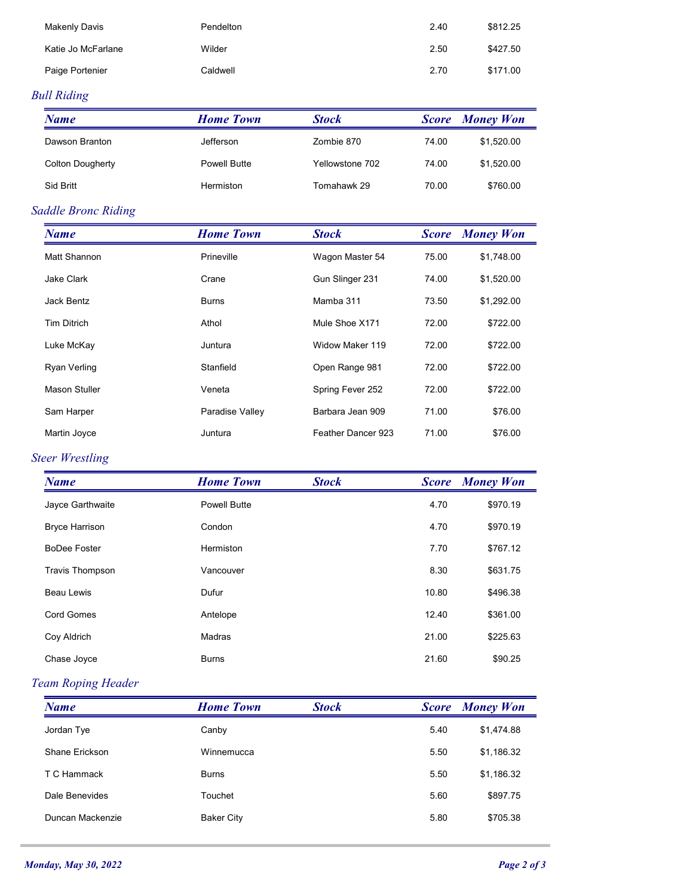| Dawson Branton       | Jefferson        | $7$ ombie 870 | 74.00 | \$152000               |
|----------------------|------------------|---------------|-------|------------------------|
| <b>Name</b>          | <b>Home Town</b> | <b>Stock</b>  |       | <b>Score</b> Money Won |
| ull Riding           |                  |               |       |                        |
| Paige Portenier      | Caldwell         |               | 2.70  | \$171.00               |
| Katie Jo McFarlane   | Wilder           |               | 2.50  | \$427.50               |
| <b>Makenly Davis</b> | Pendelton        |               | 2.40  | \$812.25               |
|                      |                  |               |       |                        |
|                      |                  |               |       |                        |
|                      |                  |               |       |                        |
|                      |                  |               |       |                        |
|                      |                  |               |       |                        |
|                      |                  |               |       |                        |
|                      |                  |               |       |                        |
|                      |                  |               |       |                        |
|                      |                  |               |       |                        |
|                      |                  |               |       |                        |
|                      |                  |               |       |                        |

## Bull Riding

| <b>Makenly Davis</b>    | Pendelton        |                 | 2.40         | \$812.25               |
|-------------------------|------------------|-----------------|--------------|------------------------|
| Katie Jo McFarlane      | Wilder           |                 | 2.50         | \$427.50               |
| Paige Portenier         | Caldwell         |                 | 2.70         | \$171.00               |
| ull Riding              |                  |                 |              |                        |
| <b>Name</b>             | <b>Home Town</b> | <b>Stock</b>    |              | <b>Score Money Won</b> |
| Dawson Branton          | Jefferson        | Zombie 870      | 74.00        | \$1,520.00             |
| <b>Colton Dougherty</b> | Powell Butte     | Yellowstone 702 | 74.00        | \$1,520.00             |
|                         |                  |                 |              |                        |
| Sid Britt               | Hermiston        | Tomahawk 29     | 70.00        | \$760.00               |
| addle Bronc Riding      |                  |                 |              |                        |
| <b>Name</b>             | <b>Home Town</b> | <b>Stock</b>    | <b>Score</b> | <b>Money Won</b>       |
| Matt Shannon            | Prineville       | Wagon Master 54 | 75.00        | \$1,748.00             |
| Jake Clark              | Crane            | Gun Slinger 231 | 74.00        | \$1,520.00             |

#### Saddle Bronc Riding

| <b>Makenly Davis</b>    | Pendelton           |                    | 2.40         | \$812.25               |
|-------------------------|---------------------|--------------------|--------------|------------------------|
| Katie Jo McFarlane      | Wilder              |                    | 2.50         | \$427.50               |
| Paige Portenier         | Caldwell            |                    | 2.70         | \$171.00               |
| ull Riding              |                     |                    |              |                        |
| <b>Name</b>             | <b>Home Town</b>    | <b>Stock</b>       |              | <b>Score</b> Money Won |
| Dawson Branton          | Jefferson           | Zombie 870         | 74.00        | \$1,520.00             |
| <b>Colton Dougherty</b> | <b>Powell Butte</b> | Yellowstone 702    | 74.00        | \$1,520.00             |
| Sid Britt               | Hermiston           | Tomahawk 29        | 70.00        | \$760.00               |
| addle Bronc Riding      |                     |                    |              |                        |
| <b>Name</b>             | <b>Home Town</b>    | <b>Stock</b>       | <b>Score</b> | <b>Money Won</b>       |
| Matt Shannon            | Prineville          | Wagon Master 54    | 75.00        | \$1,748.00             |
| Jake Clark              | Crane               | Gun Slinger 231    | 74.00        | \$1,520.00             |
| Jack Bentz              | <b>Burns</b>        | Mamba 311          | 73.50        | \$1,292.00             |
| <b>Tim Ditrich</b>      | Athol               | Mule Shoe X171     | 72.00        | \$722.00               |
| Luke McKay              | Juntura             | Widow Maker 119    | 72.00        | \$722.00               |
| Ryan Verling            | Stanfield           | Open Range 981     | 72.00        | \$722.00               |
| Mason Stuller           | Veneta              | Spring Fever 252   | 72.00        | \$722.00               |
| Sam Harper              | Paradise Valley     | Barbara Jean 909   | 71.00        | \$76.00                |
| Martin Joyce            | Juntura             | Feather Dancer 923 | 71.00        | \$76.00                |
| teer Wrestling          |                     |                    |              |                        |
| <b>Name</b>             | <b>Home Town</b>    | <b>Stock</b>       |              | <b>Score</b> Money Won |
| Jayce Garthwaite        | Powell Butte        |                    | 4.70         | \$970.19               |
| <b>Bryce Harrison</b>   | Condon              |                    | 4.70         | \$970.19               |
| <b>BoDee Foster</b>     | Hermiston           |                    | 7.70         | \$767.12               |
| <b>Travis Thompson</b>  | Vancouver           |                    | 8.30         | \$631.75               |
| Beau Lewis              | Dufur               |                    | 10.80        | \$496.38               |
| Cord Gomes              | Antelope            |                    | 12.40        | \$361.00               |

## Steer Wrestling

| Jake Clark                | Crane             | Gun Slinger 231    | 74.00        | \$1,520.00             |
|---------------------------|-------------------|--------------------|--------------|------------------------|
| Jack Bentz                | <b>Burns</b>      | Mamba 311          | 73.50        | \$1,292.00             |
| <b>Tim Ditrich</b>        | Athol             | Mule Shoe X171     | 72.00        | \$722.00               |
| Luke McKay                | Juntura           | Widow Maker 119    | 72.00        | \$722.00               |
| Ryan Verling              | Stanfield         | Open Range 981     | 72.00        | \$722.00               |
| Mason Stuller             | Veneta            | Spring Fever 252   | 72.00        | \$722.00               |
| Sam Harper                | Paradise Valley   | Barbara Jean 909   | 71.00        | \$76.00                |
| Martin Joyce              | Juntura           | Feather Dancer 923 | 71.00        | \$76.00                |
| teer Wrestling            |                   |                    |              |                        |
| <b>Name</b>               | <b>Home Town</b>  | <b>Stock</b>       | <b>Score</b> | <b>Money Won</b>       |
| Jayce Garthwaite          | Powell Butte      |                    | 4.70         | \$970.19               |
| <b>Bryce Harrison</b>     | Condon            |                    | 4.70         | \$970.19               |
| <b>BoDee Foster</b>       | Hermiston         |                    | 7.70         | \$767.12               |
| <b>Travis Thompson</b>    | Vancouver         |                    | 8.30         | \$631.75               |
| Beau Lewis                | Dufur             |                    | 10.80        | \$496.38               |
| Cord Gomes                | Antelope          |                    | 12.40        | \$361.00               |
| Coy Aldrich               | Madras            |                    | 21.00        | \$225.63               |
| Chase Joyce               | <b>Burns</b>      |                    | 21.60        | \$90.25                |
| Team Roping Header        |                   |                    |              |                        |
| <b>Name</b>               | <b>Home Town</b>  | <b>Stock</b>       |              | <b>Score</b> Money Won |
| Jordan Tye                | Canby             |                    | 5.40         | \$1,474.88             |
| Shane Erickson            | Winnemucca        |                    | 5.50         | \$1,186.32             |
| T C Hammack               | <b>Burns</b>      |                    | 5.50         | \$1,186.32             |
| Dale Benevides            | Touchet           |                    | 5.60         | \$897.75               |
| Duncan Mackenzie          | <b>Baker City</b> |                    | 5.80         | \$705.38               |
|                           |                   |                    |              |                        |
| <b>nday, May 30, 2022</b> |                   |                    |              | Page 2 of 3            |
|                           |                   |                    |              |                        |

#### Team Roping Header

| Beau Lewis<br>Dufur<br>10.80<br>\$496.38<br>Cord Gomes<br>12.40<br>\$361.00<br>Antelope<br>Coy Aldrich<br>21.00<br>\$225.63<br>Madras |
|---------------------------------------------------------------------------------------------------------------------------------------|
|                                                                                                                                       |
|                                                                                                                                       |
|                                                                                                                                       |
| 21.60<br><b>Burns</b><br>\$90.25<br>Chase Joyce                                                                                       |
| <b>Team Roping Header</b>                                                                                                             |
| <b>Home Town</b><br><b>Score</b> Money Won<br><b>Stock</b><br><b>Name</b>                                                             |
| Jordan Tye<br>Canby<br>\$1,474.88<br>5.40                                                                                             |
| Shane Erickson<br>5.50<br>Winnemucca<br>\$1,186.32                                                                                    |
| T C Hammack<br><b>Burns</b><br>\$1,186.32<br>5.50                                                                                     |
| Dale Benevides<br>Touchet<br>5.60<br>\$897.75                                                                                         |
| Duncan Mackenzie<br>5.80<br><b>Baker City</b><br>\$705.38                                                                             |
|                                                                                                                                       |
| Page 2 of 3<br><b>Monday, May 30, 2022</b>                                                                                            |
|                                                                                                                                       |